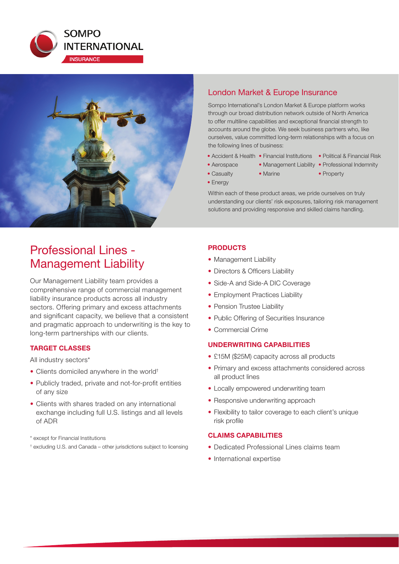



## London Market & Europe Insurance

Sompo International's London Market & Europe platform works through our broad distribution network outside of North America to offer multiline capabilities and exceptional financial strength to accounts around the globe. We seek business partners who, like ourselves, value committed long-term relationships with a focus on the following lines of business:

- Accident & Health Financial Institutions Political & Financial Risk
	-
- Aerospace Management Liability Professional Indemnity
- Casualty Marine Property
- Energy

Within each of these product areas, we pride ourselves on truly understanding our clients' risk exposures, tailoring risk management solutions and providing responsive and skilled claims handling.

# Professional Lines - Management Liability

Our Management Liability team provides a comprehensive range of commercial management liability insurance products across all industry sectors. Offering primary and excess attachments and significant capacity, we believe that a consistent and pragmatic approach to underwriting is the key to long-term partnerships with our clients.

## **TARGET CLASSES**

All industry sectors\*

- Clients domiciled anywhere in the world<sup>+</sup>
- Publicly traded, private and not-for-profit entities of any size
- Clients with shares traded on any international exchange including full U.S. listings and all levels of ADR
- \* except for Financial Institutions
- † excluding U.S. and Canada other jurisdictions subject to licensing

## **PRODUCTS**

- Management Liability
- Directors & Officers Liability
- Side-A and Side-A DIC Coverage
- Employment Practices Liability
- Pension Trustee Liability
- Public Offering of Securities Insurance
- Commercial Crime

#### **UNDERWRITING CAPABILITIES**

- £15M (\$25M) capacity across all products
- Primary and excess attachments considered across all product lines
- Locally empowered underwriting team
- Responsive underwriting approach
- Flexibility to tailor coverage to each client's unique risk profile

### **CLAIMS CAPABILITIES**

- Dedicated Professional Lines claims team
- International expertise